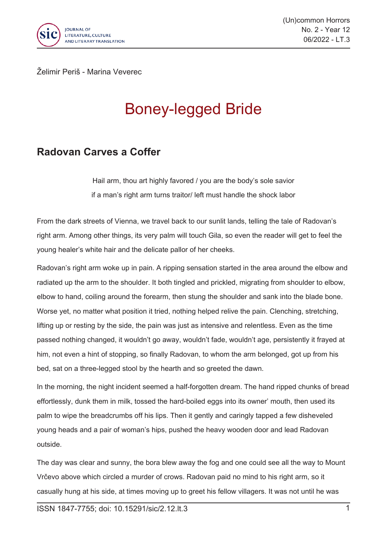

(Un)common Horrors No. 2 - Year 12 06/2022 - LT.3

Želimir Periš - Marina Veverec

## Boney-legged Bride

## **Radovan Carves a Coffer**

*Hail arm, thou art highly favored / you are the body's sole savior if <sup>a</sup> man's right arm turns traitor/ left must handle the shock labor*

From the dark streets of Vienna, we travel back to our sunlit lands, telling the tale of Radovan's right arm. Among other things, its very palm will touch Gila, so even the reader will get to feel the young healer's white hair and the delicate pallor of her cheeks.

Radovan's right arm woke up in pain. A ripping sensation started in the area around the elbow and radiated up the arm to the shoulder. It both tingled and prickled, migrating from shoulder to elbow, elbow to hand, coiling around the forearm, then stung the shoulder and sank into the blade bone. Worse yet, no matter what position it tried, nothing helped relive the pain. Clenching, stretching, lifting up or resting by the side, the pain was just as intensive and relentless. Even as the time passed nothing changed, it wouldn't go away, wouldn't fade, wouldn't age, persistently it frayed at him, not even <sup>a</sup> hint of stopping, so finally Radovan, to whom the arm belonged, got up from his bed, sat on <sup>a</sup> three-legged stool by the hearth and so greeted the dawn.

In the morning, the night incident seemed <sup>a</sup> half-forgotten dream. The hand ripped chunks of bread effortlessly, dunk them in milk, tossed the hard-boiled eggs into its owner' mouth, then used its palm to wipe the breadcrumbs off his lips. Then it gently and caringly tapped <sup>a</sup> few disheveled young heads and <sup>a</sup> pair of woman's hips, pushed the heavy wooden door and lead Radovan outside.

The day was clear and sunny, the bora blew away the fog and one could see all the way to Mount Vrčevo above which circled <sup>a</sup> murder of crows. Radovan paid no mind to his right arm, so it casually hung at his side, at times moving up to greet his fellow villagers. It was not until he was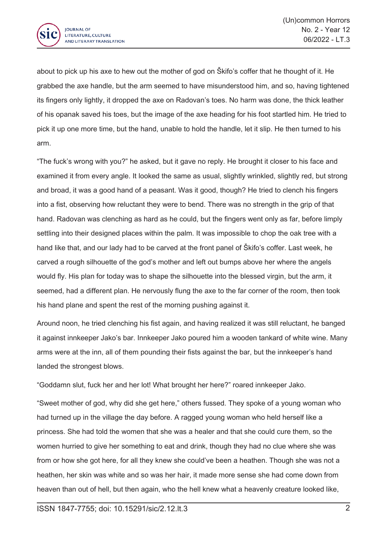

about to pick up his axe to hew out the mother of god on Škifo's coffer that he thought of it. He grabbed the axe handle, but the arm seemed to have misunderstood him, and so, having tightened its fingers only lightly, it dropped the axe on Radovan's toes. No harm was done, the thick leather of his opanak saved his toes, but the image of the axe heading for his foot startled him. He tried to pick it up one more time, but the hand, unable to hold the handle, let it slip. He then turned to his arm.

"The fuck's wrong with you?" he asked, but it gave no reply. He brought it closer to his face and examined it from every angle. It looked the same as usual, slightly wrinkled, slightly red, but strong and broad, it was <sup>a</sup> good hand of <sup>a</sup> peasant. Was it good, though? He tried to clench his fingers into <sup>a</sup> fist, observing how reluctant they were to bend. There was no strength in the grip of that hand. Radovan was clenching as hard as he could, but the fingers went only as far, before limply settling into their designed places within the palm. It was impossible to chop the oak tree with <sup>a</sup> hand like that, and our lady had to be carved at the front panel of Škifo's coffer. Last week, he carved <sup>a</sup> rough silhouette of the god's mother and left out bumps above her where the angels would fly. His plan for today was to shape the silhouette into the blessed virgin, but the arm, it seemed, had <sup>a</sup> different plan. He nervously flung the axe to the far corner of the room, then took his hand plane and spent the rest of the morning pushing against it.

Around noon, he tried clenching his fist again, and having realized it was still reluctant, he banged it against innkeeper Jako's bar. Innkeeper Jako poured him <sup>a</sup> wooden tankard of white wine. Many arms were at the inn, all of them pounding their fists against the bar, but the innkeeper's hand landed the strongest blows.

"Goddamn slut, fuck her and her lot! What brought her here?" roared innkeeper Jako.

"Sweet mother of god, why did she get here," others fussed. They spoke of <sup>a</sup> young woman who had turned up in the village the day before. A ragged young woman who held herself like <sup>a</sup> princess. She had told the women that she was <sup>a</sup> healer and that she could cure them, so the women hurried to give her something to eat and drink, though they had no clue where she was from or how she got here, for all they knew she could've been <sup>a</sup> heathen. Though she was not <sup>a</sup> heathen, her skin was white and so was her hair, it made more sense she had come down from heaven than out of hell, but then again, who the hell knew what <sup>a</sup> heavenly creature looked like,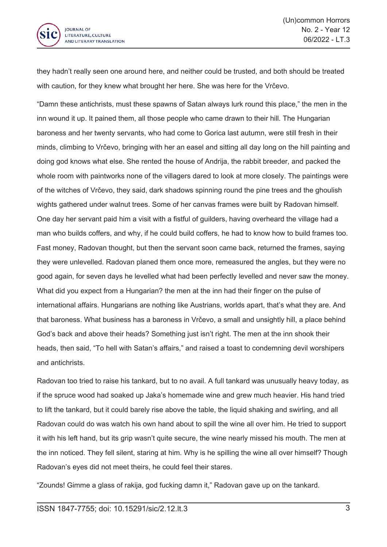

they hadn't really seen one around here, and neither could be trusted, and both should be treated with caution, for they knew what brought her here. She was here for the Vrčevo.

"Damn these antichrists, must these spawns of Satan always lurk round this place," the men in the inn wound it up. It pained them, all those people who came drawn to their hill. The Hungarian baroness and her twenty servants, who had come to Gorica last autumn, were still fresh in their minds, climbing to Vrčevo, bringing with her an easel and sitting all day long on the hill painting and doing god knows what else. She rented the house of Andrija, the rabbit breeder, and packed the whole room with paintworks none of the villagers dared to look at more closely. The paintings were of the witches of Vrčevo, they said, dark shadows spinning round the pine trees and the ghoulish wights gathered under walnut trees. Some of her canvas frames were built by Radovan himself. One day her servant paid him <sup>a</sup> visit with <sup>a</sup> fistful of guilders, having overheard the village had <sup>a</sup> man who builds coffers, and why, if he could build coffers, he had to know how to build frames too. Fast money, Radovan thought, but then the servant soon came back, returned the frames, saying they were unlevelled. Radovan planed them once more, remeasured the angles, but they were no good again, for seven days he levelled what had been perfectly levelled and never saw the money. What did you expect from <sup>a</sup> Hungarian? the men at the inn had their finger on the pulse of international affairs. Hungarians are nothing like Austrians, worlds apart, that's what they are. And that baroness. What business has <sup>a</sup> baroness in Vrčevo, <sup>a</sup> small and unsightly hill, <sup>a</sup> place behind God's back and above their heads? Something just isn't right. The men at the inn shook their heads, then said, "To hell with Satan's affairs," and raised <sup>a</sup> toast to condemning devil worshipers and antichrists.

Radovan too tried to raise his tankard, but to no avail. A full tankard was unusually heavy today, as if the spruce wood had soaked up Jaka's homemade wine and grew much heavier. His hand tried to lift the tankard, but it could barely rise above the table, the liquid shaking and swirling, and all Radovan could do was watch his own hand about to spill the wine all over him. He tried to support it with his left hand, but its grip wasn't quite secure, the wine nearly missed his mouth. The men at the inn noticed. They fell silent, staring at him. Why is he spilling the wine all over himself? Though Radovan's eyes did not meet theirs, he could feel their stares.

"Zounds! Gimme <sup>a</sup> glass of rakija, god fucking damn it," Radovan gave up on the tankard.